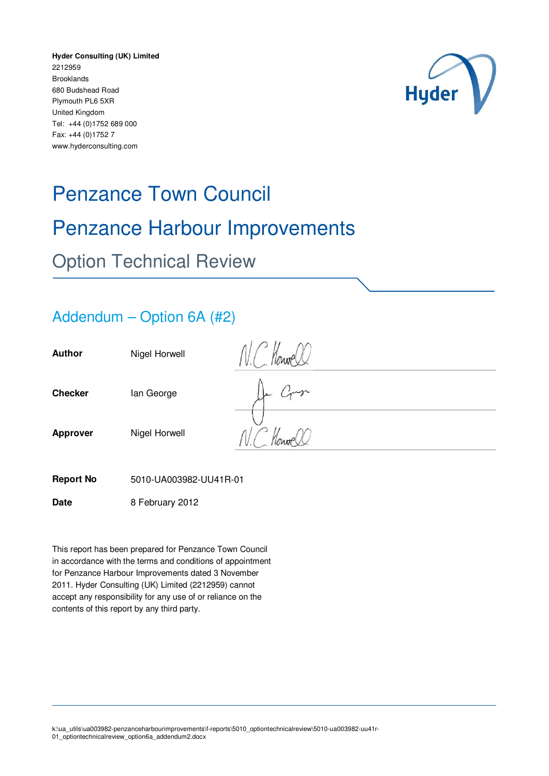**Hyder Consulting (UK) Limited** 2212959 Brooklands 680 Budshead Road Plymouth PL6 5XR United Kingdom Tel: +44 (0)1752 689 000 Fax: +44 (0)1752 7 www.hyderconsulting.com



# Penzance Town Council Penzance Harbour Improvements Option Technical Review

### Addendum – Option 6A (#2)

| <b>Author</b>   | Nigel Horwell | $\eta_{\text{MMP}}$ |
|-----------------|---------------|---------------------|
| <b>Checker</b>  | lan George    | 22                  |
| <b>Approver</b> | Nigel Horwell | $Im\theta$          |

**Report No** 5010-UA003982-UU41R-01

**Date** 8 February 2012

This report has been prepared for Penzance Town Council in accordance with the terms and conditions of appointment for Penzance Harbour Improvements dated 3 November 2011. Hyder Consulting (UK) Limited (2212959) cannot accept any responsibility for any use of or reliance on the contents of this report by any third party.

k:\ua\_utils\ua003982-penzanceharbourimprovements\f-reports\5010\_optiontechnicalreview\5010-ua003982-uu41r-01\_optiontechnicalreview\_option6a\_addendum2.docx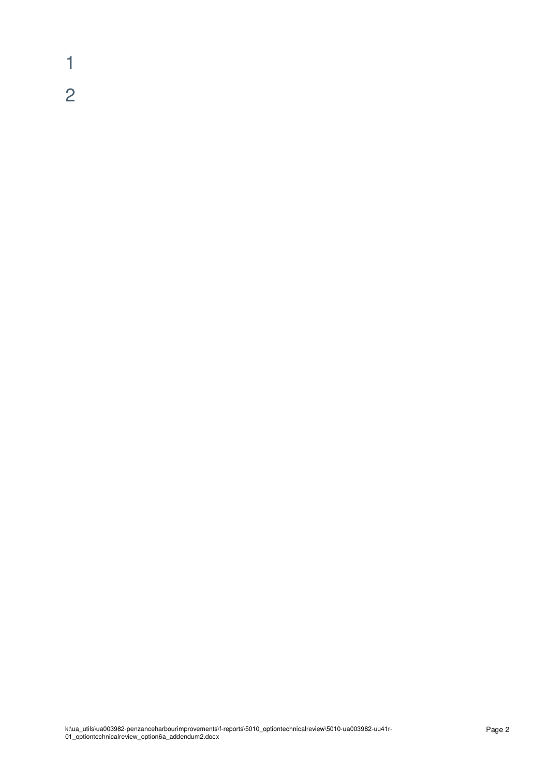1 2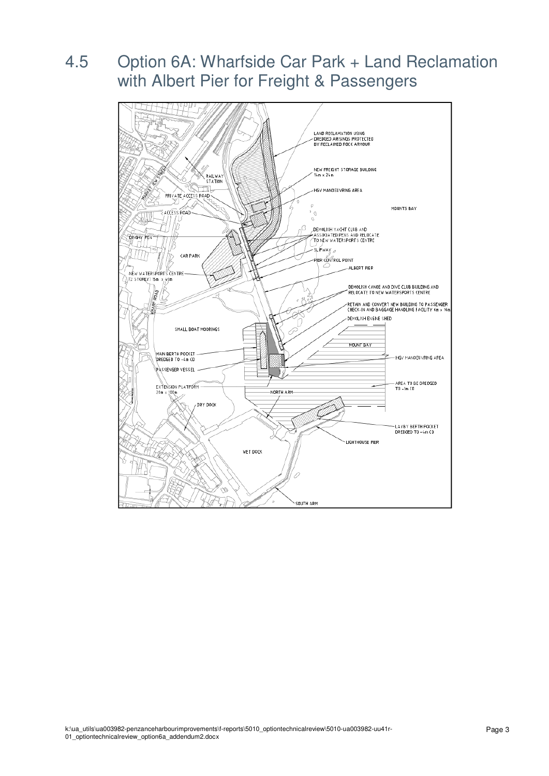# 4.5 Option 6A: Wharfside Car Park + Land Reclamation with Albert Pier for Freight & Passengers

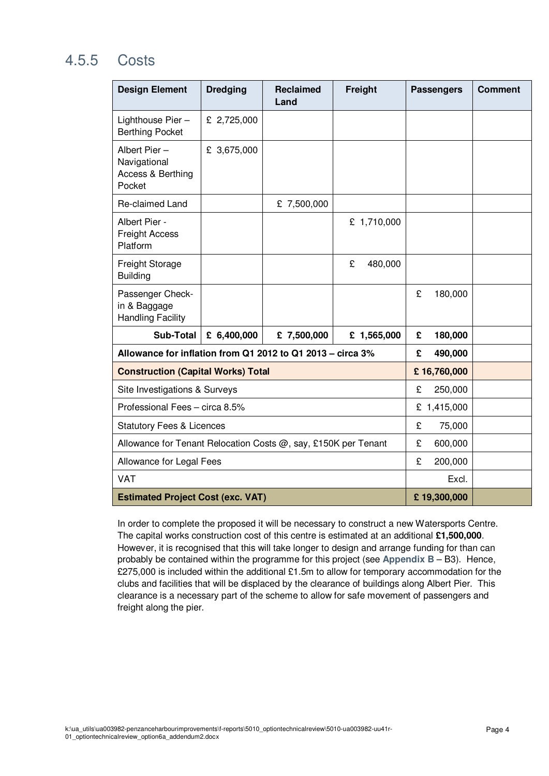## 4.5.5 Costs

| <b>Design Element</b>                                          | <b>Dredging</b> | <b>Reclaimed</b><br>Land | Freight      | <b>Passengers</b> |             | <b>Comment</b> |
|----------------------------------------------------------------|-----------------|--------------------------|--------------|-------------------|-------------|----------------|
| Lighthouse Pier-<br><b>Berthing Pocket</b>                     | £ 2,725,000     |                          |              |                   |             |                |
| Albert Pier -<br>Navigational<br>Access & Berthing<br>Pocket   | £ 3,675,000     |                          |              |                   |             |                |
| Re-claimed Land                                                |                 | £ 7,500,000              |              |                   |             |                |
| Albert Pier -<br><b>Freight Access</b><br>Platform             |                 |                          | £ 1,710,000  |                   |             |                |
| Freight Storage<br><b>Building</b>                             |                 |                          | £<br>480,000 |                   |             |                |
| Passenger Check-<br>in & Baggage<br><b>Handling Facility</b>   |                 |                          |              | £                 | 180,000     |                |
| <b>Sub-Total</b>                                               | £ $6,400,000$   | £ 7,500,000              | £ 1,565,000  | £                 | 180,000     |                |
| Allowance for inflation from Q1 2012 to Q1 2013 - circa 3%     | £               | 490,000                  |              |                   |             |                |
| <b>Construction (Capital Works) Total</b>                      | £16,760,000     |                          |              |                   |             |                |
| Site Investigations & Surveys                                  |                 |                          |              |                   | 250,000     |                |
| Professional Fees - circa 8.5%                                 |                 |                          |              |                   | £ 1,415,000 |                |
| <b>Statutory Fees &amp; Licences</b>                           |                 |                          |              |                   | 75,000      |                |
| Allowance for Tenant Relocation Costs @, say, £150K per Tenant |                 |                          |              |                   | 600,000     |                |
| Allowance for Legal Fees                                       |                 |                          |              |                   | 200,000     |                |
| <b>VAT</b>                                                     |                 | Excl.                    |              |                   |             |                |
| <b>Estimated Project Cost (exc. VAT)</b>                       | £19,300,000     |                          |              |                   |             |                |

In order to complete the proposed it will be necessary to construct a new Watersports Centre. The capital works construction cost of this centre is estimated at an additional **£1,500,000**. However, it is recognised that this will take longer to design and arrange funding for than can probably be contained within the programme for this project (see **Appendix B** – B3). Hence, £275,000 is included within the additional £1.5m to allow for temporary accommodation for the clubs and facilities that will be displaced by the clearance of buildings along Albert Pier. This clearance is a necessary part of the scheme to allow for safe movement of passengers and freight along the pier.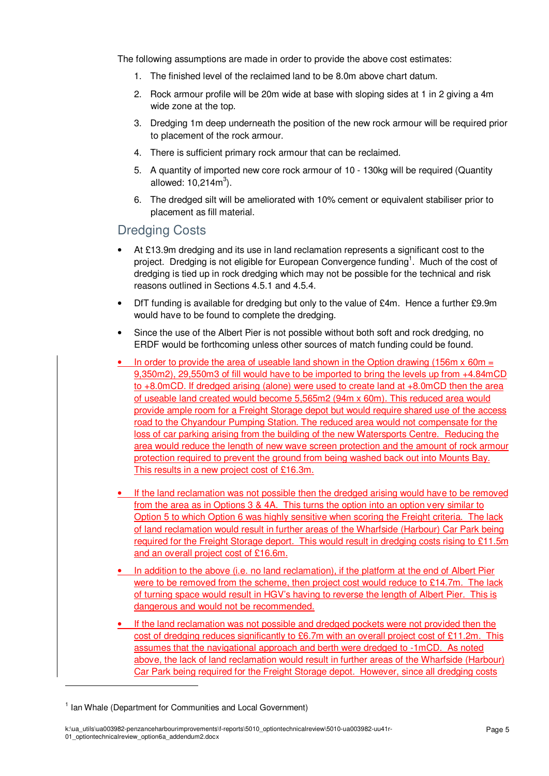The following assumptions are made in order to provide the above cost estimates:

- 1. The finished level of the reclaimed land to be 8.0m above chart datum.
- 2. Rock armour profile will be 20m wide at base with sloping sides at 1 in 2 giving a 4m wide zone at the top.
- 3. Dredging 1m deep underneath the position of the new rock armour will be required prior to placement of the rock armour.
- 4. There is sufficient primary rock armour that can be reclaimed.
- 5. A quantity of imported new core rock armour of 10 130kg will be required (Quantity allowed:  $10,214m^3$ ).
- 6. The dredged silt will be ameliorated with 10% cement or equivalent stabiliser prior to placement as fill material.

#### Dredging Costs

- At £13.9m dredging and its use in land reclamation represents a significant cost to the project. Dredging is not eligible for European Convergence funding<sup>1</sup>. Much of the cost of dredging is tied up in rock dredging which may not be possible for the technical and risk reasons outlined in Sections 4.5.1 and 4.5.4.
- DfT funding is available for dredging but only to the value of £4m. Hence a further £9.9m would have to be found to complete the dredging.
- Since the use of the Albert Pier is not possible without both soft and rock dredging, no ERDF would be forthcoming unless other sources of match funding could be found.
- In order to provide the area of useable land shown in the Option drawing (156m x 60m = 9,350m2), 29,550m3 of fill would have to be imported to bring the levels up from +4.84mCD to +8.0mCD. If dredged arising (alone) were used to create land at +8.0mCD then the area of useable land created would become 5,565m2 (94m x 60m). This reduced area would provide ample room for a Freight Storage depot but would require shared use of the access road to the Chyandour Pumping Station. The reduced area would not compensate for the loss of car parking arising from the building of the new Watersports Centre. Reducing the area would reduce the length of new wave screen protection and the amount of rock armour protection required to prevent the ground from being washed back out into Mounts Bay. This results in a new project cost of £16.3m.
- If the land reclamation was not possible then the dredged arising would have to be removed from the area as in Options 3 & 4A. This turns the option into an option very similar to Option 5 to which Option 6 was highly sensitive when scoring the Freight criteria. The lack of land reclamation would result in further areas of the Wharfside (Harbour) Car Park being required for the Freight Storage deport. This would result in dredging costs rising to £11.5m and an overall project cost of £16.6m.
- In addition to the above (i.e. no land reclamation), if the platform at the end of Albert Pier were to be removed from the scheme, then project cost would reduce to £14.7m. The lack of turning space would result in HGV's having to reverse the length of Albert Pier. This is dangerous and would not be recommended.
- If the land reclamation was not possible and dredged pockets were not provided then the cost of dredging reduces significantly to £6.7m with an overall project cost of £11.2m. This assumes that the navigational approach and berth were dredged to -1mCD. As noted above, the lack of land reclamation would result in further areas of the Wharfside (Harbour) Car Park being required for the Freight Storage depot. However, since all dredging costs

-

<sup>&</sup>lt;sup>1</sup> Ian Whale (Department for Communities and Local Government)